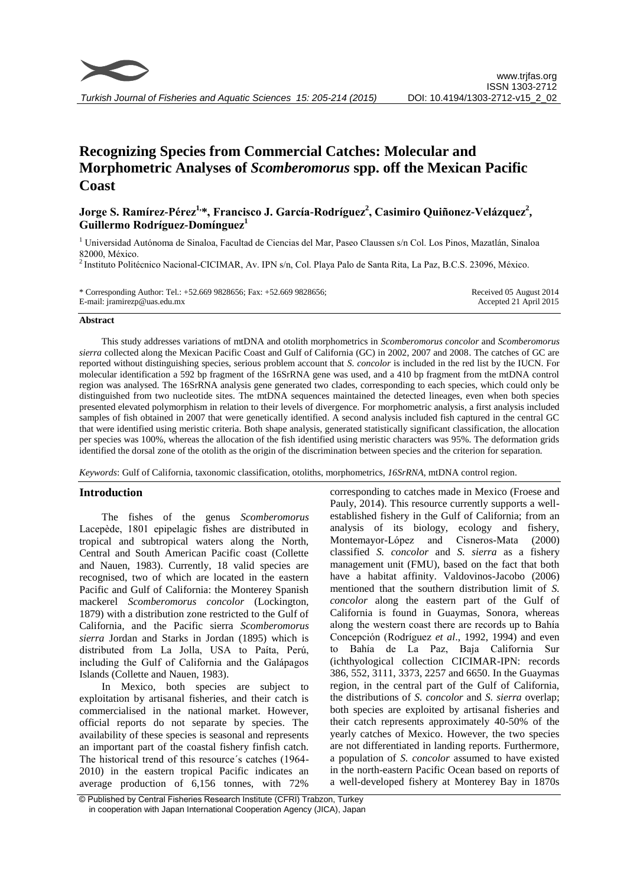

# **Recognizing Species from Commercial Catches: Molecular and Morphometric Analyses of** *Scomberomorus* **spp. off the Mexican Pacific Coast**

## **Jorge S. Ramírez-Pérez1, \*, Francisco J. García-Rodríguez<sup>2</sup> , Casimiro Quiñonez-Velázquez<sup>2</sup> , Guillermo Rodríguez-Domínguez<sup>1</sup>**

<sup>1</sup> Universidad Autónoma de Sinaloa, Facultad de Ciencias del Mar, Paseo Claussen s/n Col. Los Pinos, Mazatlán, Sinaloa 82000, México.

<sup>2</sup> Instituto Politécnico Nacional-CICIMAR, Av. IPN s/n, Col. Playa Palo de Santa Rita, La Paz, B.C.S. 23096, México.

| * Corresponding Author: Tel.: $+52.669$ 9828656; Fax: $+52.669$ 9828656; | Received 05 August 2014 |
|--------------------------------------------------------------------------|-------------------------|
| E-mail: jramirezp@uas.edu.mx                                             | Accepted 21 April 2015  |

#### **Abstract**

This study addresses variations of mtDNA and otolith morphometrics in *Scomberomorus concolor* and *Scomberomorus sierra* collected along the Mexican Pacific Coast and Gulf of California (GC) in 2002, 2007 and 2008. The catches of GC are reported without distinguishing species, serious problem account that *S. concolor* is included in the red list by the IUCN. For molecular identification a 592 bp fragment of the 16SrRNA gene was used, and a 410 bp fragment from the mtDNA control region was analysed. The 16SrRNA analysis gene generated two clades, corresponding to each species, which could only be distinguished from two nucleotide sites. The mtDNA sequences maintained the detected lineages, even when both species presented elevated polymorphism in relation to their levels of divergence. For morphometric analysis, a first analysis included samples of fish obtained in 2007 that were genetically identified. A second analysis included fish captured in the central GC that were identified using meristic criteria. Both shape analysis, generated statistically significant classification, the allocation per species was 100%, whereas the allocation of the fish identified using meristic characters was 95%. The deformation grids identified the dorsal zone of the otolith as the origin of the discrimination between species and the criterion for separation*.*

*Keywords*: Gulf of California, taxonomic classification, otoliths, morphometrics, *16SrRNA*, mtDNA control region.

#### **Introduction**

The fishes of the genus *Scomberomorus*  Lacepède, 1801 epipelagic fishes are distributed in tropical and subtropical waters along the North, Central and South American Pacific coast (Collette and Nauen, 1983). Currently, 18 valid species are recognised, two of which are located in the eastern Pacific and Gulf of California: the Monterey Spanish mackerel *Scomberomorus concolor* (Lockington, 1879) with a distribution zone restricted to the Gulf of California, and the Pacific sierra *Scomberomorus sierra* Jordan and Starks in Jordan (1895) which is distributed from La Jolla, USA to Paíta, Perú, including the Gulf of California and the Galápagos Islands (Collette and Nauen, 1983).

In Mexico, both species are subject to exploitation by artisanal fisheries, and their catch is commercialised in the national market. However, official reports do not separate by species. The availability of these species is seasonal and represents an important part of the coastal fishery finfish catch. The historical trend of this resource´s catches (1964- 2010) in the eastern tropical Pacific indicates an average production of 6,156 tonnes, with 72% corresponding to catches made in Mexico (Froese and Pauly, 2014). This resource currently supports a wellestablished fishery in the Gulf of California; from an analysis of its biology, ecology and fishery, Montemayor-López and Cisneros-Mata (2000) classified *S. concolor* and *S. sierra* as a fishery management unit (FMU), based on the fact that both have a habitat affinity. Valdovinos-Jacobo (2006) mentioned that the southern distribution limit of *S. concolor* along the eastern part of the Gulf of California is found in Guaymas, Sonora, whereas along the western coast there are records up to Bahía Concepción (Rodríguez *et al*., 1992, 1994) and even Bahía de La Paz, Baja California Sur (ichthyological collection CICIMAR-IPN: records 386, 552, 3111, 3373, 2257 and 6650. In the Guaymas region, in the central part of the Gulf of California, the distributions of *S. concolor* and *S. sierra* overlap; both species are exploited by artisanal fisheries and their catch represents approximately 40-50% of the yearly catches of Mexico. However, the two species are not differentiated in landing reports. Furthermore, a population of *S. concolor* assumed to have existed in the north-eastern Pacific Ocean based on reports of a well-developed fishery at Monterey Bay in 1870s

<sup>©</sup> Published by Central Fisheries Research Institute (CFRI) Trabzon, Turkey in cooperation with Japan International Cooperation Agency (JICA), Japan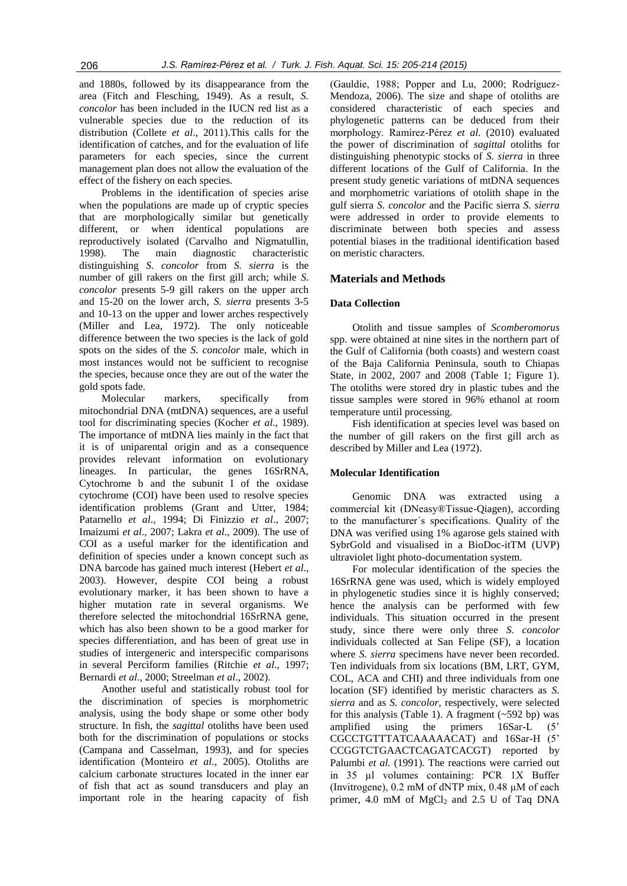and 1880s, followed by its disappearance from the area (Fitch and Flesching, 1949). As a result, *S. concolor* has been included in the IUCN red list as a vulnerable species due to the reduction of its distribution (Collete *et al*., 2011).This calls for the identification of catches, and for the evaluation of life parameters for each species, since the current management plan does not allow the evaluation of the effect of the fishery on each species.

Problems in the identification of species arise when the populations are made up of cryptic species that are morphologically similar but genetically different, or when identical populations are reproductively isolated (Carvalho and Nigmatullin, 1998). The main diagnostic characteristic distinguishing *S. concolor* from *S. sierra* is the number of gill rakers on the first gill arch; while *S. concolor* presents 5-9 gill rakers on the upper arch and 15-20 on the lower arch, *S. sierra* presents 3-5 and 10-13 on the upper and lower arches respectively (Miller and Lea, 1972). The only noticeable difference between the two species is the lack of gold spots on the sides of the *S. concolor* male, which in most instances would not be sufficient to recognise the species, because once they are out of the water the gold spots fade.

Molecular markers, specifically from mitochondrial DNA (mtDNA) sequences, are a useful tool for discriminating species (Kocher *et al*., 1989). The importance of mtDNA lies mainly in the fact that it is of uniparental origin and as a consequence provides relevant information on evolutionary lineages. In particular, the genes 16SrRNA, Cytochrome b and the subunit I of the oxidase cytochrome (COI) have been used to resolve species identification problems (Grant and Utter, 1984; Patarnello *et al*., 1994; Di Finizzio *et al*., 2007; Imaizumi *et al*., 2007; Lakra *et al*., 2009). The use of COI as a useful marker for the identification and definition of species under a known concept such as DNA barcode has gained much interest (Hebert *et al*., 2003). However, despite COI being a robust evolutionary marker, it has been shown to have a higher mutation rate in several organisms. We therefore selected the mitochondrial 16SrRNA gene, which has also been shown to be a good marker for species differentiation, and has been of great use in studies of intergeneric and interspecific comparisons in several Perciform families (Ritchie *et al*., 1997; Bernardi *et al*., 2000; Streelman *et al*., 2002).

Another useful and statistically robust tool for the discrimination of species is morphometric analysis, using the body shape or some other body structure. In fish, the *sagittal* otoliths have been used both for the discrimination of populations or stocks (Campana and Casselman, 1993), and for species identification (Monteiro *et al*., 2005). Otoliths are calcium carbonate structures located in the inner ear of fish that act as sound transducers and play an important role in the hearing capacity of fish

(Gauldie, 1988; Popper and Lu, 2000; Rodríguez-Mendoza, 2006). The size and shape of otoliths are considered characteristic of each species and phylogenetic patterns can be deduced from their morphology. Ramírez-Pérez *et al.* (2010) evaluated the power of discrimination of *sagittal* otoliths for distinguishing phenotypic stocks of *S. sierra* in three different locations of the Gulf of California. In the present study genetic variations of mtDNA sequences and morphometric variations of otolith shape in the gulf sierra *S. concolor* and the Pacific sierra *S. sierra* were addressed in order to provide elements to discriminate between both species and assess potential biases in the traditional identification based on meristic characters.

### **Materials and Methods**

#### **Data Collection**

Otolith and tissue samples of *Scomberomorus* spp. were obtained at nine sites in the northern part of the Gulf of California (both coasts) and western coast of the Baja California Peninsula, south to Chiapas State, in 2002, 2007 and 2008 (Table 1; Figure 1). The otoliths were stored dry in plastic tubes and the tissue samples were stored in 96% ethanol at room temperature until processing.

Fish identification at species level was based on the number of gill rakers on the first gill arch as described by Miller and Lea (1972).

#### **Molecular Identification**

Genomic DNA was extracted using a commercial kit (DNeasy®Tissue-Qiagen), according to the manufacturer´s specifications. Quality of the DNA was verified using 1% agarose gels stained with SybrGold and visualised in a BioDoc-itTM (UVP) ultraviolet light photo-documentation system.

For molecular identification of the species the 16SrRNA gene was used, which is widely employed in phylogenetic studies since it is highly conserved; hence the analysis can be performed with few individuals. This situation occurred in the present study, since there were only three *S. concolor* individuals collected at San Felipe (SF), a location where *S. sierra* specimens have never been recorded. Ten individuals from six locations (BM, LRT, GYM, COL, ACA and CHI) and three individuals from one location (SF) identified by meristic characters as *S. sierra* and as *S. concolor*, respectively, were selected for this analysis (Table 1). A fragment  $(\sim 592$  bp) was amplified using the primers 16Sar-L (5' CGCCTGTTTATCAAAAACAT) and 16Sar-H (5' CCGGTCTGAACTCAGATCACGT) reported by Palumbi *et al.* (1991). The reactions were carried out in 35 µl volumes containing: PCR 1X Buffer (Invitrogene), 0.2 mM of dNTP mix, 0.48 µM of each primer, 4.0 mM of  $MgCl<sub>2</sub>$  and 2.5 U of Taq DNA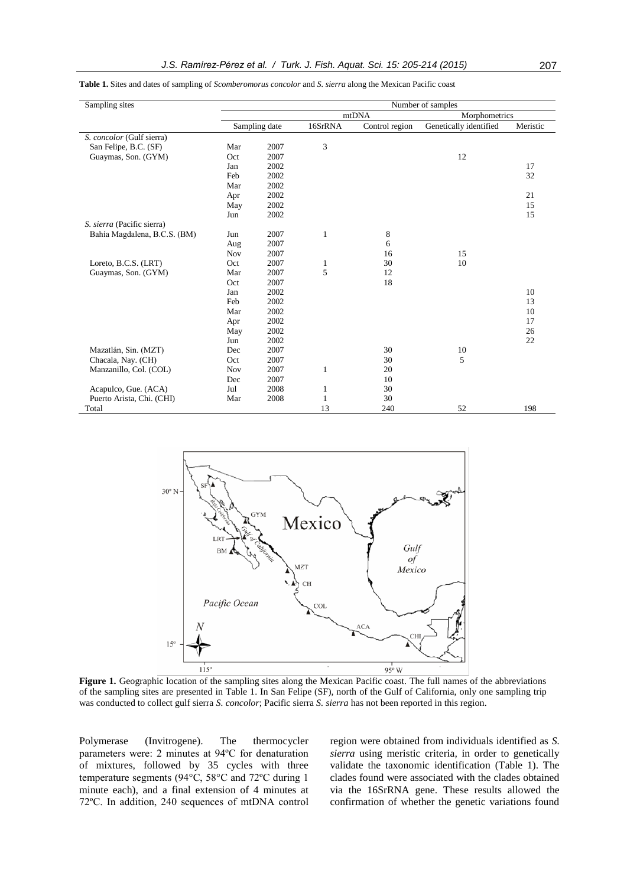| Sampling sites               |            |               |               |                | Number of samples      |          |
|------------------------------|------------|---------------|---------------|----------------|------------------------|----------|
|                              |            |               | Morphometrics |                |                        |          |
|                              |            | Sampling date | 16SrRNA       | Control region | Genetically identified | Meristic |
| S. concolor (Gulf sierra)    |            |               |               |                |                        |          |
| San Felipe, B.C. (SF)        | Mar        | 2007          | 3             |                |                        |          |
| Guaymas, Son. (GYM)          | Oct        | 2007          |               |                | 12                     |          |
|                              | Jan        | 2002          |               |                |                        | 17       |
|                              | Feb        | 2002          |               |                |                        | 32       |
|                              | Mar        | 2002          |               |                |                        |          |
|                              | Apr        | 2002          |               |                |                        | 21       |
|                              | May        | 2002          |               |                |                        | 15       |
|                              | Jun        | 2002          |               |                |                        | 15       |
| S. sierra (Pacific sierra)   |            |               |               |                |                        |          |
| Bahía Magdalena, B.C.S. (BM) | Jun        | 2007          | 1             | 8              |                        |          |
|                              | Aug        | 2007          |               | 6              |                        |          |
|                              | <b>Nov</b> | 2007          |               | 16             | 15                     |          |
| Loreto, B.C.S. (LRT)         | Oct        | 2007          | 1             | 30             | 10                     |          |
| Guaymas, Son. (GYM)          | Mar        | 2007          | 5             | 12             |                        |          |
|                              | Oct        | 2007          |               | 18             |                        |          |
|                              | Jan        | 2002          |               |                |                        | 10       |
|                              | Feb        | 2002          |               |                |                        | 13       |
|                              | Mar        | 2002          |               |                |                        | 10       |
|                              | Apr        | 2002          |               |                |                        | 17       |
|                              | May        | 2002          |               |                |                        | 26       |
|                              | Jun        | 2002          |               |                |                        | 22       |
| Mazatlán, Sin. (MZT)         | Dec        | 2007          |               | 30             | 10                     |          |
| Chacala, Nay. (CH)           | Oct        | 2007          |               | 30             | 5                      |          |
| Manzanillo, Col. (COL)       | Nov        | 2007          | 1             | 20             |                        |          |
|                              | Dec        | 2007          |               | 10             |                        |          |
| Acapulco, Gue. (ACA)         | Jul        | 2008          | 1             | 30             |                        |          |
| Puerto Arista, Chi. (CHI)    | Mar        | 2008          | $\mathbf{1}$  | 30             |                        |          |
| Total                        |            |               | 13            | 240            | 52                     | 198      |

**Table 1.** Sites and dates of sampling of *Scomberomorus concolor* and *S. sierra* along the Mexican Pacific coast



**Figure 1.** Geographic location of the sampling sites along the Mexican Pacific coast. The full names of the abbreviations of the sampling sites are presented in Table 1. In San Felipe (SF), north of the Gulf of California, only one sampling trip was conducted to collect gulf sierra *S. concolor*; Pacific sierra *S. sierra* has not been reported in this region.

Polymerase (Invitrogene). The thermocycler parameters were: 2 minutes at 94ºC for denaturation of mixtures, followed by 35 cycles with three temperature segments (94°C, 58°C and 72ºC during 1 minute each), and a final extension of 4 minutes at 72ºC. In addition, 240 sequences of mtDNA control region were obtained from individuals identified as *S. sierra* using meristic criteria*,* in order to genetically validate the taxonomic identification (Table 1). The clades found were associated with the clades obtained via the 16SrRNA gene. These results allowed the confirmation of whether the genetic variations found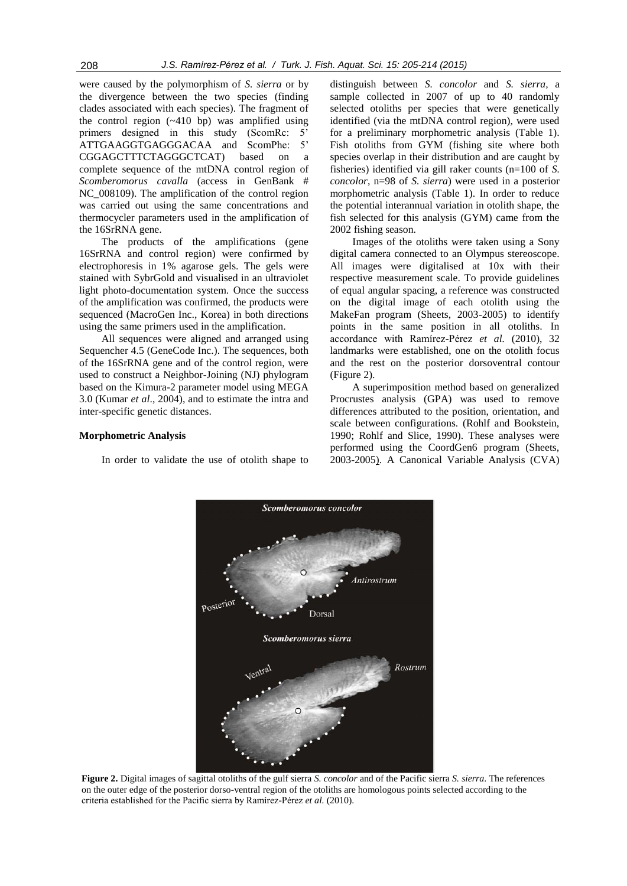were caused by the polymorphism of *S. sierra* or by the divergence between the two species (finding clades associated with each species). The fragment of the control region (~410 bp) was amplified using primers designed in this study (ScomRc: 5' ATTGAAGGTGAGGGACAA and ScomPhe: 5' CGGAGCTTTCTAGGGCTCAT) based on a complete sequence of the mtDNA control region of *Scomberomorus cavalla* (access in GenBank # NC 008109). The amplification of the control region was carried out using the same concentrations and thermocycler parameters used in the amplification of the 16SrRNA gene.

The products of the amplifications (gene 16SrRNA and control region) were confirmed by electrophoresis in 1% agarose gels. The gels were stained with SybrGold and visualised in an ultraviolet light photo-documentation system. Once the success of the amplification was confirmed, the products were sequenced (MacroGen Inc., Korea) in both directions using the same primers used in the amplification.

All sequences were aligned and arranged using Sequencher 4.5 (GeneCode Inc.). The sequences, both of the 16SrRNA gene and of the control region, were used to construct a Neighbor-Joining (NJ) phylogram based on the Kimura-2 parameter model using MEGA 3.0 (Kumar *et al*., 2004), and to estimate the intra and inter-specific genetic distances.

#### **Morphometric Analysis**

In order to validate the use of otolith shape to

distinguish between *S. concolor* and *S. sierra,* a sample collected in 2007 of up to 40 randomly selected otoliths per species that were genetically identified (via the mtDNA control region), were used for a preliminary morphometric analysis (Table 1). Fish otoliths from GYM (fishing site where both species overlap in their distribution and are caught by fisheries) identified via gill raker counts (n=100 of *S. concolor*, n=98 of *S. sierra*) were used in a posterior morphometric analysis (Table 1). In order to reduce the potential interannual variation in otolith shape, the fish selected for this analysis (GYM) came from the 2002 fishing season.

Images of the otoliths were taken using a Sony digital camera connected to an Olympus stereoscope. All images were digitalised at 10x with their respective measurement scale. To provide guidelines of equal angular spacing, a reference was constructed on the digital image of each otolith using the MakeFan program (Sheets, 2003-2005) to identify points in the same position in all otoliths. In accordance with Ramírez-Pérez *et al.* (2010), 32 landmarks were established, one on the otolith focus and the rest on the posterior dorsoventral contour (Figure 2).

A superimposition method based on generalized Procrustes analysis (GPA) was used to remove differences attributed to the position, orientation, and scale between configurations. (Rohlf and Bookstein, 1990; Rohlf and Slice, 1990). These analyses were performed using the CoordGen6 program (Sheets, 2003-2005). A Canonical Variable Analysis (CVA)



**Figure 2.** Digital images of sagittal otoliths of the gulf sierra *S. concolor* and of the Pacific sierra *S. sierra*. The references on the outer edge of the posterior dorso-ventral region of the otoliths are homologous points selected according to the criteria established for the Pacific sierra by Ramírez-Pérez *et al.* (2010).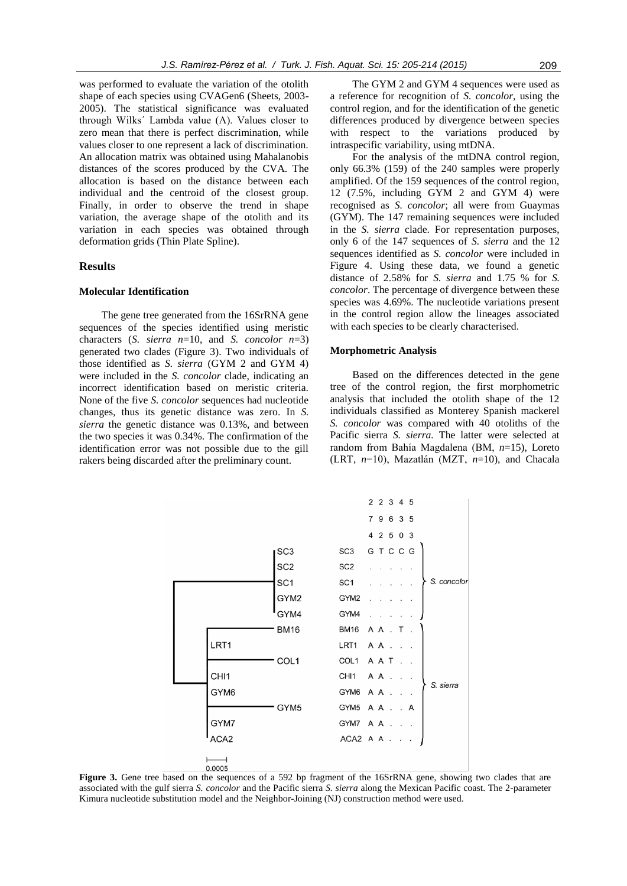was performed to evaluate the variation of the otolith shape of each species using CVAGen6 (Sheets, 2003- 2005). The statistical significance was evaluated through Wilks' Lambda value  $(Λ)$ . Values closer to zero mean that there is perfect discrimination, while values closer to one represent a lack of discrimination. An allocation matrix was obtained using Mahalanobis distances of the scores produced by the CVA. The allocation is based on the distance between each individual and the centroid of the closest group. Finally, in order to observe the trend in shape variation, the average shape of the otolith and its variation in each species was obtained through deformation grids (Thin Plate Spline).

#### **Results**

#### **Molecular Identification**

The gene tree generated from the 16SrRNA gene sequences of the species identified using meristic characters (*S. sierra n*=10, and *S. concolor n*=3) generated two clades (Figure 3). Two individuals of those identified as *S. sierra* (GYM 2 and GYM 4) were included in the *S. concolor* clade, indicating an incorrect identification based on meristic criteria. None of the five *S. concolor* sequences had nucleotide changes, thus its genetic distance was zero. In *S. sierra* the genetic distance was 0.13%, and between the two species it was 0.34%. The confirmation of the identification error was not possible due to the gill rakers being discarded after the preliminary count.

The GYM 2 and GYM 4 sequences were used as a reference for recognition of *S. concolor,* using the control region, and for the identification of the genetic differences produced by divergence between species with respect to the variations produced by intraspecific variability, using mtDNA.

For the analysis of the mtDNA control region, only 66.3% (159) of the 240 samples were properly amplified. Of the 159 sequences of the control region, 12 (7.5%, including GYM 2 and GYM 4) were recognised as *S. concolor*; all were from Guaymas (GYM). The 147 remaining sequences were included in the *S. sierra* clade. For representation purposes, only 6 of the 147 sequences of *S. sierra* and the 12 sequences identified as *S. concolor* were included in Figure 4. Using these data, we found a genetic distance of 2.58% for *S. sierra* and 1.75 % for *S. concolor*. The percentage of divergence between these species was 4.69%. The nucleotide variations present in the control region allow the lineages associated with each species to be clearly characterised.

#### **Morphometric Analysis**

Based on the differences detected in the gene tree of the control region, the first morphometric analysis that included the otolith shape of the 12 individuals classified as Monterey Spanish mackerel *S. concolor* was compared with 40 otoliths of the Pacific sierra *S. sierra.* The latter were selected at random from Bahía Magdalena (BM, *n*=15), Loreto (LRT, *n*=10), Mazatlán (MZT, *n*=10), and Chacala



Figure 3. Gene tree based on the sequences of a 592 bp fragment of the 16SrRNA gene, showing two clades that are associated with the gulf sierra *S. concolor* and the Pacific sierra *S. sierra* along the Mexican Pacific coast. The 2-parameter Kimura nucleotide substitution model and the Neighbor-Joining (NJ) construction method were used.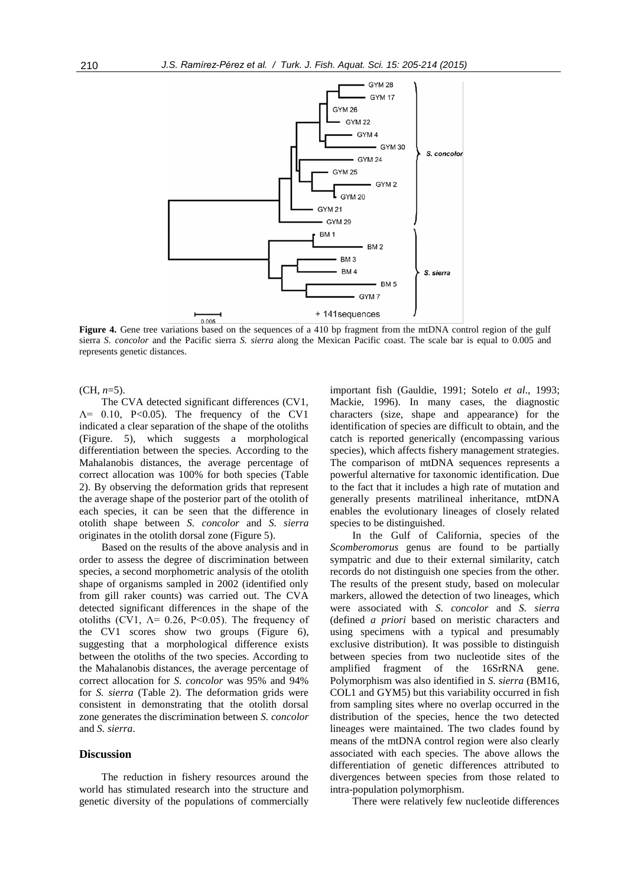

**Figure 4.** Gene tree variations based on the sequences of a 410 bp fragment from the mtDNA control region of the gulf sierra *S. concolor* and the Pacific sierra *S. sierra* along the Mexican Pacific coast. The scale bar is equal to 0.005 and represents genetic distances.

(CH, *n*=5).

The CVA detected significant differences (CV1,  $\Lambda$ = 0.10, P<0.05). The frequency of the CV1 indicated a clear separation of the shape of the otoliths (Figure. 5), which suggests a morphological differentiation between the species. According to the Mahalanobis distances, the average percentage of correct allocation was 100% for both species (Table 2). By observing the deformation grids that represent the average shape of the posterior part of the otolith of each species, it can be seen that the difference in otolith shape between *S. concolor* and *S. sierra*  originates in the otolith dorsal zone (Figure 5).

Based on the results of the above analysis and in order to assess the degree of discrimination between species, a second morphometric analysis of the otolith shape of organisms sampled in 2002 (identified only from gill raker counts) was carried out. The CVA detected significant differences in the shape of the otoliths (CV1,  $\Lambda$ = 0.26, P<0.05). The frequency of the CV1 scores show two groups (Figure 6), suggesting that a morphological difference exists between the otoliths of the two species. According to the Mahalanobis distances, the average percentage of correct allocation for *S. concolor* was 95% and 94% for *S. sierra* (Table 2). The deformation grids were consistent in demonstrating that the otolith dorsal zone generates the discrimination between *S. concolor*  and *S. sierra*.

#### **Discussion**

The reduction in fishery resources around the world has stimulated research into the structure and genetic diversity of the populations of commercially

important fish (Gauldie, 1991; Sotelo *et al*., 1993; Mackie, 1996). In many cases, the diagnostic characters (size, shape and appearance) for the identification of species are difficult to obtain, and the catch is reported generically (encompassing various species), which affects fishery management strategies. The comparison of mtDNA sequences represents a powerful alternative for taxonomic identification. Due to the fact that it includes a high rate of mutation and generally presents matrilineal inheritance, mtDNA enables the evolutionary lineages of closely related species to be distinguished.

In the Gulf of California, species of the *Scomberomorus* genus are found to be partially sympatric and due to their external similarity, catch records do not distinguish one species from the other. The results of the present study, based on molecular markers, allowed the detection of two lineages, which were associated with *S. concolor* and *S. sierra* (defined *a priori* based on meristic characters and using specimens with a typical and presumably exclusive distribution). It was possible to distinguish between species from two nucleotide sites of the amplified fragment of the 16SrRNA gene. Polymorphism was also identified in *S. sierra* (BM16, COL1 and GYM5) but this variability occurred in fish from sampling sites where no overlap occurred in the distribution of the species, hence the two detected lineages were maintained. The two clades found by means of the mtDNA control region were also clearly associated with each species. The above allows the differentiation of genetic differences attributed to divergences between species from those related to intra-population polymorphism.

There were relatively few nucleotide differences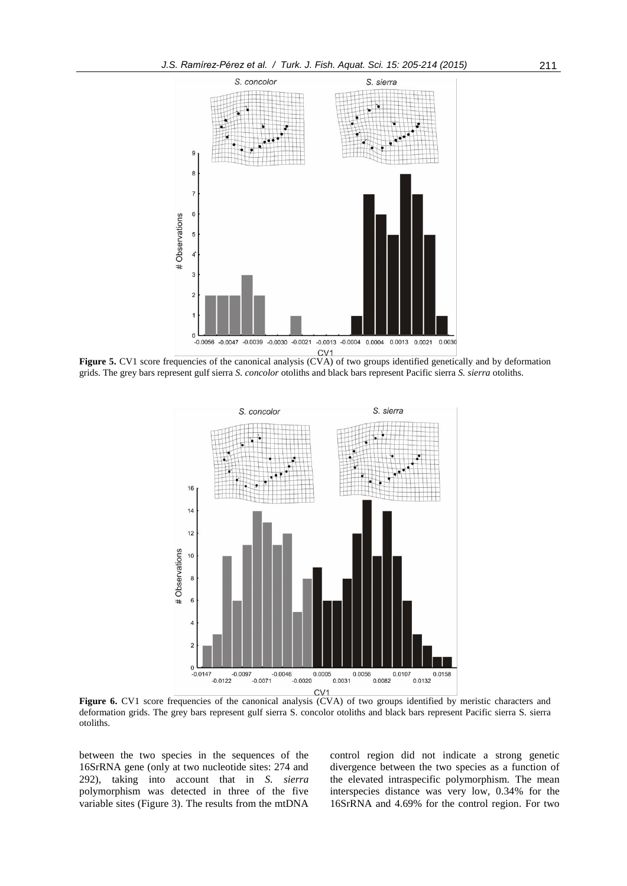

Figure 5. CV1 score frequencies of the canonical analysis (CVA) of two groups identified genetically and by deformation grids. The grey bars represent gulf sierra *S. concolor* otoliths and black bars represent Pacific sierra *S. sierra* otoliths.



**Figure 6.** CV1 score frequencies of the canonical analysis (CVA) of two groups identified by meristic characters and deformation grids. The grey bars represent gulf sierra S. concolor otoliths and black bars represent Pacific sierra S. sierra otoliths.

between the two species in the sequences of the 16SrRNA gene (only at two nucleotide sites: 274 and 292), taking into account that in *S. sierra* polymorphism was detected in three of the five variable sites (Figure 3). The results from the mtDNA control region did not indicate a strong genetic divergence between the two species as a function of the elevated intraspecific polymorphism. The mean interspecies distance was very low, 0.34% for the 16SrRNA and 4.69% for the control region. For two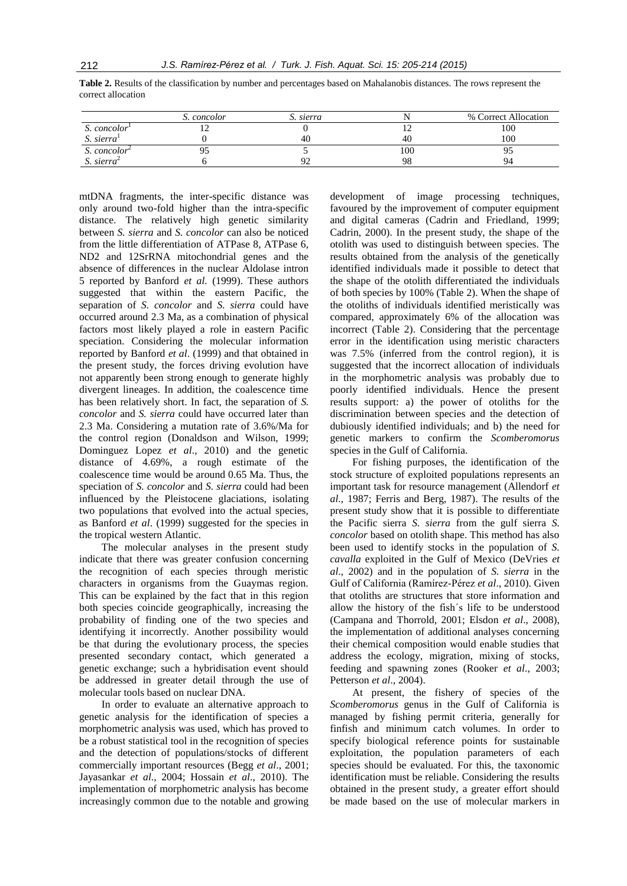|                          | S. concolor | S. sierra |     | % Correct Allocation |
|--------------------------|-------------|-----------|-----|----------------------|
| S. concolor              |             |           |     | 100                  |
| S. sierra                |             |           | 40  | 100                  |
| S. concolor <sup>2</sup> |             |           | 100 |                      |
| $S.$ sierra <sup>2</sup> |             |           | O۶  | 94                   |

**Table 2.** Results of the classification by number and percentages based on Mahalanobis distances. The rows represent the correct allocation

mtDNA fragments, the inter-specific distance was only around two-fold higher than the intra-specific distance. The relatively high genetic similarity between *S. sierra* and *S. concolor* can also be noticed from the little differentiation of ATPase 8, ATPase 6, ND2 and 12SrRNA mitochondrial genes and the absence of differences in the nuclear Aldolase intron 5 reported by Banford *et al.* (1999). These authors suggested that within the eastern Pacific, the separation of *S. concolor* and *S. sierra* could have occurred around 2.3 Ma, as a combination of physical factors most likely played a role in eastern Pacific speciation. Considering the molecular information reported by Banford *et al*. (1999) and that obtained in the present study, the forces driving evolution have not apparently been strong enough to generate highly divergent lineages. In addition, the coalescence time has been relatively short. In fact, the separation of *S. concolor* and *S. sierra* could have occurred later than 2.3 Ma. Considering a mutation rate of 3.6%/Ma for the control region (Donaldson and Wilson, 1999; Dominguez Lopez *et al*., 2010) and the genetic distance of 4.69%, a rough estimate of the coalescence time would be around 0.65 Ma. Thus, the speciation of *S. concolor* and *S. sierra* could had been influenced by the Pleistocene glaciations, isolating two populations that evolved into the actual species, as Banford *et al*. (1999) suggested for the species in the tropical western Atlantic.

The molecular analyses in the present study indicate that there was greater confusion concerning the recognition of each species through meristic characters in organisms from the Guaymas region. This can be explained by the fact that in this region both species coincide geographically, increasing the probability of finding one of the two species and identifying it incorrectly. Another possibility would be that during the evolutionary process, the species presented secondary contact, which generated a genetic exchange; such a hybridisation event should be addressed in greater detail through the use of molecular tools based on nuclear DNA.

In order to evaluate an alternative approach to genetic analysis for the identification of species a morphometric analysis was used, which has proved to be a robust statistical tool in the recognition of species and the detection of populations/stocks of different commercially important resources (Begg *et al*., 2001; Jayasankar *et al*., 2004; Hossain *et al*., 2010). The implementation of morphometric analysis has become increasingly common due to the notable and growing

development of image processing techniques, favoured by the improvement of computer equipment and digital cameras (Cadrin and Friedland, 1999; Cadrin, 2000). In the present study, the shape of the otolith was used to distinguish between species. The results obtained from the analysis of the genetically identified individuals made it possible to detect that the shape of the otolith differentiated the individuals of both species by 100% (Table 2). When the shape of the otoliths of individuals identified meristically was compared, approximately 6% of the allocation was incorrect (Table 2). Considering that the percentage error in the identification using meristic characters was 7.5% (inferred from the control region), it is suggested that the incorrect allocation of individuals in the morphometric analysis was probably due to poorly identified individuals. Hence the present results support: a) the power of otoliths for the discrimination between species and the detection of dubiously identified individuals; and b) the need for genetic markers to confirm the *Scomberomorus* species in the Gulf of California.

For fishing purposes, the identification of the stock structure of exploited populations represents an important task for resource management (Allendorf *et al*., 1987; Ferris and Berg, 1987). The results of the present study show that it is possible to differentiate the Pacific sierra *S. sierra* from the gulf sierra *S. concolor* based on otolith shape. This method has also been used to identify stocks in the population of *S. cavalla* exploited in the Gulf of Mexico (DeVries *et al*., 2002) and in the population of *S. sierra* in the Gulf of California (Ramírez-Pérez *et al*., 2010). Given that otoliths are structures that store information and allow the history of the fish´s life to be understood (Campana and Thorrold, 2001; Elsdon *et al*., 2008), the implementation of additional analyses concerning their chemical composition would enable studies that address the ecology, migration, mixing of stocks, feeding and spawning zones (Rooker *et al*., 2003; Petterson *et al*., 2004).

At present, the fishery of species of the *Scomberomorus* genus in the Gulf of California is managed by fishing permit criteria, generally for finfish and minimum catch volumes. In order to specify biological reference points for sustainable exploitation, the population parameters of each species should be evaluated. For this, the taxonomic identification must be reliable. Considering the results obtained in the present study, a greater effort should be made based on the use of molecular markers in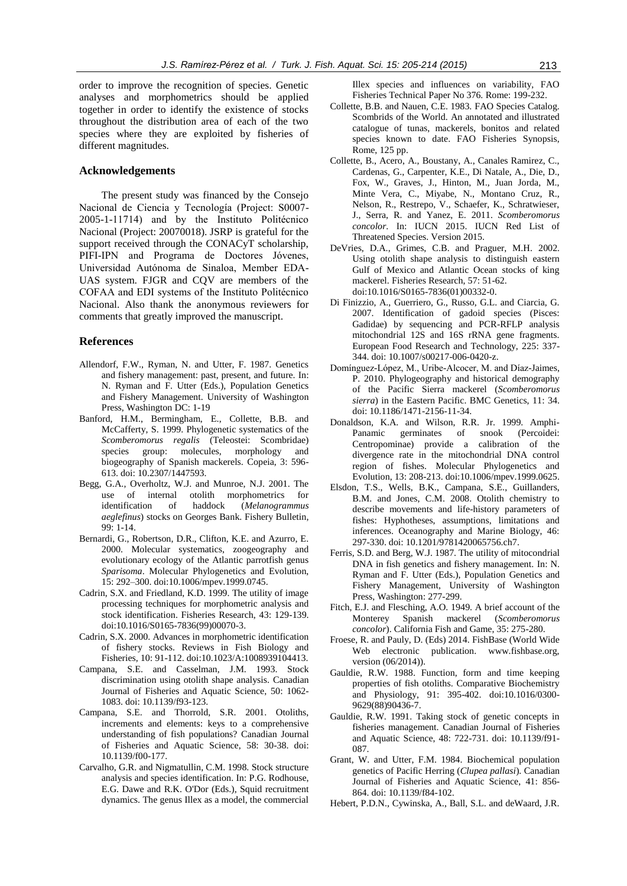order to improve the recognition of species. Genetic analyses and morphometrics should be applied together in order to identify the existence of stocks throughout the distribution area of each of the two species where they are exploited by fisheries of different magnitudes.

#### **Acknowledgements**

The present study was financed by the Consejo Nacional de Ciencia y Tecnología (Project: S0007- 2005-1-11714) and by the Instituto Politécnico Nacional (Project: 20070018). JSRP is grateful for the support received through the CONACyT scholarship, PIFI-IPN and Programa de Doctores Jóvenes, Universidad Autónoma de Sinaloa, Member EDA-UAS system. FJGR and CQV are members of the COFAA and EDI systems of the Instituto Politécnico Nacional. Also thank the anonymous reviewers for comments that greatly improved the manuscript.

#### **References**

- Allendorf, F.W., Ryman, N. and Utter, F. 1987. Genetics and fishery management: past, present, and future. In: N. Ryman and F. Utter (Eds.), Population Genetics and Fishery Management. University of Washington Press, Washington DC: 1-19
- Banford, H.M., Bermingham, E., Collette, B.B. and McCafferty, S. 1999. Phylogenetic systematics of the *Scomberomorus regalis* (Teleostei: Scombridae) species group: molecules, morphology and biogeography of Spanish mackerels. Copeia, 3: 596- 613. doi: 10.2307/1447593.
- Begg, G.A., Overholtz, W.J. and Munroe, N.J. 2001. The use of internal otolith morphometrics for identification of haddock (*Melanogrammus aeglefinus*) stocks on Georges Bank. Fishery Bulletin, 99: 1-14.
- Bernardi, G., Robertson, D.R., Clifton, K.E. and Azurro, E. 2000. Molecular systematics, zoogeography and evolutionary ecology of the Atlantic parrotfish genus *Sparisoma*. Molecular Phylogenetics and Evolution, 15: 292–300. doi:10.1006/mpev.1999.0745.
- Cadrin, S.X. and Friedland, K.D. 1999. The utility of image processing techniques for morphometric analysis and stock identification. Fisheries Research, 43: 129-139. doi:10.1016/S0165-7836(99)00070-3.
- Cadrin, S.X. 2000. Advances in morphometric identification of fishery stocks. Reviews in Fish Biology and Fisheries, 10: 91-112. doi:10.1023/A:1008939104413.
- Campana, S.E. and Casselman, J.M. 1993. Stock discrimination using otolith shape analysis. Canadian Journal of Fisheries and Aquatic Science, 50: 1062- 1083. doi: 10.1139/f93-123.
- Campana, S.E. and Thorrold, S.R. 2001. Otoliths, increments and elements: keys to a comprehensive understanding of fish populations? Canadian Journal of Fisheries and Aquatic Science, 58: 30-38. doi: 10.1139/f00-177.
- Carvalho, G.R. and Nigmatullin, C.M. 1998. Stock structure analysis and species identification. In: P.G. Rodhouse, E.G. Dawe and R.K. O'Dor (Eds.), Squid recruitment dynamics. The genus Illex as a model, the commercial

Illex species and influences on variability, FAO Fisheries Technical Paper No 376. Rome: 199-232.

- Collette, B.B. and Nauen, C.E. 1983. FAO Species Catalog. Scombrids of the World. An annotated and illustrated catalogue of tunas, mackerels, bonitos and related species known to date. FAO Fisheries Synopsis, Rome, 125 pp.
- Collette, B., Acero, A., Boustany, A., Canales Ramirez, C., Cardenas, G., Carpenter, K.E., Di Natale, A., Die, D., Fox, W., Graves, J., Hinton, M., Juan Jorda, M., Minte Vera, C., Miyabe, N., Montano Cruz, R., Nelson, R., Restrepo, V., Schaefer, K., Schratwieser, J., Serra, R. and Yanez, E. 2011. *Scomberomorus concolor*. In: IUCN 2015. IUCN Red List of Threatened Species. Version 2015.
- DeVries, D.A., Grimes, C.B. and Praguer, M.H. 2002. Using otolith shape analysis to distinguish eastern Gulf of Mexico and Atlantic Ocean stocks of king mackerel. Fisheries Research, 57: 51-62. doi:10.1016/S0165-7836(01)00332-0.
- Di Finizzio, A., Guerriero, G., Russo, G.L. and Ciarcia, G. 2007. Identification of gadoid species (Pisces: Gadidae) by sequencing and PCR-RFLP analysis mitochondrial 12S and 16S rRNA gene fragments. European Food Research and Technology, 225: 337- 344. doi: 10.1007/s00217-006-0420-z.
- Domínguez-López, M., Uribe-Alcocer, M. and Díaz-Jaimes, P. 2010. Phylogeography and historical demography of the Pacific Sierra mackerel (*Scomberomorus sierra*) in the Eastern Pacific. BMC Genetics, 11: 34. doi: 10.1186/1471-2156-11-34.
- Donaldson, K.A. and Wilson, R.R. Jr. 1999. Amphi-Panamic germinates of snook (Percoidei: Centropominae) provide a calibration of the divergence rate in the mitochondrial DNA control region of fishes. Molecular Phylogenetics and Evolution, 13: 208-213. doi:10.1006/mpev.1999.0625.
- Elsdon, T.S., Wells, B.K., Campana, S.E., Guillanders, B.M. and Jones, C.M. 2008. Otolith chemistry to describe movements and life-history parameters of fishes: Hyphotheses, assumptions, limitations and inferences. Oceanography and Marine Biology, 46: 297-330. doi: 10.1201/9781420065756.ch7.
- Ferris, S.D. and Berg, W.J. 1987. The utility of mitocondrial DNA in fish genetics and fishery management. In: N. Ryman and F. Utter (Eds.), Population Genetics and Fishery Management, University of Washington Press, Washington: 277-299.
- Fitch, E.J. and Flesching, A.O. 1949. A brief account of the Monterey Spanish mackerel (*Scomberomorus concolor*). California Fish and Game, 35: 275-280.
- Froese, R. and Pauly, D. (Eds) 2014. FishBase (World Wide Web electronic publication. www.fishbase.org, version (06/2014)).
- Gauldie, R.W. 1988. Function, form and time keeping properties of fish otoliths. Comparative Biochemistry and Physiology, 91: 395-402. doi:10.1016/0300- 9629(88)90436-7.
- Gauldie, R.W. 1991. Taking stock of genetic concepts in fisheries management. Canadian Journal of Fisheries and Aquatic Science, 48: 722-731. doi: 10.1139/f91- 087.
- Grant, W. and Utter, F.M. 1984. Biochemical population genetics of Pacific Herring (*Clupea pallasi*). Canadian Journal of Fisheries and Aquatic Science, 41: 856- 864. doi: 10.1139/f84-102.
- Hebert, P.D.N., Cywinska, A., Ball, S.L. and deWaard, J.R.